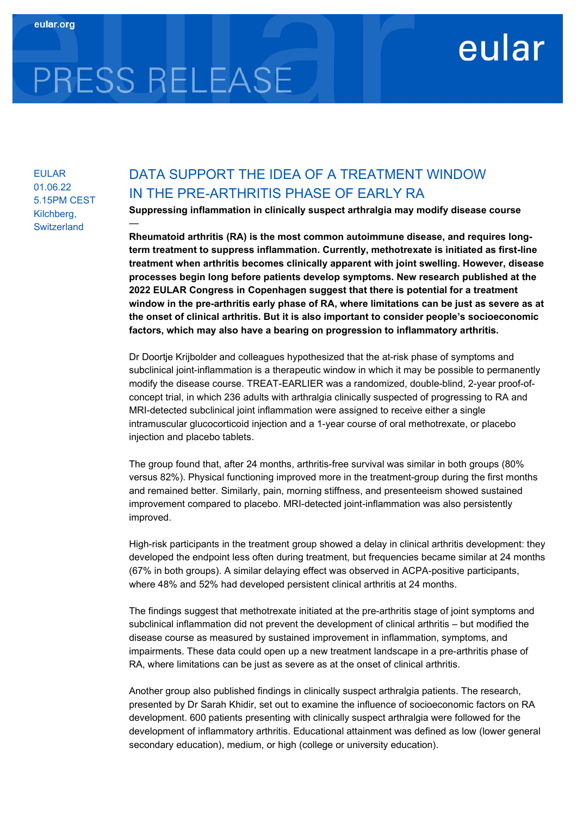## eular

# PRESS RELEASE

—

EULAR 01.06.22 5.15PM CEST Kilchberg, **Switzerland** 

### DATA SUPPORT THE IDEA OF A TREATMENT WINDOW IN THE PRE-ARTHRITIS PHASE OF EARLY RA

Suppressing inflammation in clinically suspect arthralgia may modify disease course

Rheumatoid arthritis (RA) is the most common autoimmune disease, and requires longterm treatment to suppress inflammation. Currently, methotrexate is initiated as first-line treatment when arthritis becomes clinically apparent with joint swelling. However, disease processes begin long before patients develop symptoms. New research published at the 2022 EULAR Congress in Copenhagen suggest that there is potential for a treatment window in the pre-arthritis early phase of RA, where limitations can be just as severe as at the onset of clinical arthritis. But it is also important to consider people's socioeconomic factors, which may also have a bearing on progression to inflammatory arthritis.

Dr Doortje Krijbolder and colleagues hypothesized that the at-risk phase of symptoms and subclinical joint-inflammation is a therapeutic window in which it may be possible to permanently modify the disease course. TREAT-EARLIER was a randomized, double-blind, 2-year proof-ofconcept trial, in which 236 adults with arthralgia clinically suspected of progressing to RA and MRI-detected subclinical joint inflammation were assigned to receive either a single intramuscular glucocorticoid injection and a 1-year course of oral methotrexate, or placebo injection and placebo tablets.

The group found that, after 24 months, arthritis-free survival was similar in both groups (80% versus 82%). Physical functioning improved more in the treatment-group during the first months and remained better. Similarly, pain, morning stiffness, and presenteeism showed sustained improvement compared to placebo. MRI-detected joint-inflammation was also persistently improved.

High-risk participants in the treatment group showed a delay in clinical arthritis development: they developed the endpoint less often during treatment, but frequencies became similar at 24 months (67% in both groups). A similar delaying effect was observed in ACPA-positive participants, where 48% and 52% had developed persistent clinical arthritis at 24 months.

The findings suggest that methotrexate initiated at the pre-arthritis stage of joint symptoms and subclinical inflammation did not prevent the development of clinical arthritis – but modified the disease course as measured by sustained improvement in inflammation, symptoms, and impairments. These data could open up a new treatment landscape in a pre-arthritis phase of RA, where limitations can be just as severe as at the onset of clinical arthritis.

Another group also published findings in clinically suspect arthralgia patients. The research, presented by Dr Sarah Khidir, set out to examine the influence of socioeconomic factors on RA development. 600 patients presenting with clinically suspect arthralgia were followed for the development of inflammatory arthritis. Educational attainment was defined as low (lower general secondary education), medium, or high (college or university education).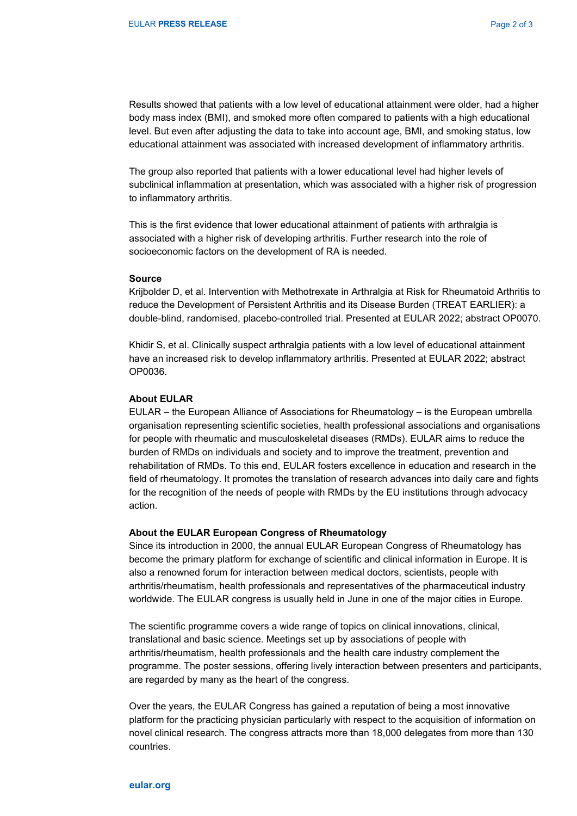Results showed that patients with a low level of educational attainment were older, had a higher body mass index (BMI), and smoked more often compared to patients with a high educational level. But even after adjusting the data to take into account age, BMI, and smoking status, low educational attainment was associated with increased development of inflammatory arthritis.

The group also reported that patients with a lower educational level had higher levels of subclinical inflammation at presentation, which was associated with a higher risk of progression to inflammatory arthritis.

This is the first evidence that lower educational attainment of patients with arthralgia is associated with a higher risk of developing arthritis. Further research into the role of socioeconomic factors on the development of RA is needed.

#### Source

Krijbolder D, et al. Intervention with Methotrexate in Arthralgia at Risk for Rheumatoid Arthritis to reduce the Development of Persistent Arthritis and its Disease Burden (TREAT EARLIER): a double-blind, randomised, placebo-controlled trial. Presented at EULAR 2022; abstract OP0070.

Khidir S, et al. Clinically suspect arthralgia patients with a low level of educational attainment have an increased risk to develop inflammatory arthritis. Presented at EULAR 2022; abstract OP0036.

#### About EULAR

EULAR – the European Alliance of Associations for Rheumatology – is the European umbrella organisation representing scientific societies, health professional associations and organisations for people with rheumatic and musculoskeletal diseases (RMDs). EULAR aims to reduce the burden of RMDs on individuals and society and to improve the treatment, prevention and rehabilitation of RMDs. To this end, EULAR fosters excellence in education and research in the field of rheumatology. It promotes the translation of research advances into daily care and fights for the recognition of the needs of people with RMDs by the EU institutions through advocacy action.

#### About the EULAR European Congress of Rheumatology

Since its introduction in 2000, the annual EULAR European Congress of Rheumatology has become the primary platform for exchange of scientific and clinical information in Europe. It is also a renowned forum for interaction between medical doctors, scientists, people with arthritis/rheumatism, health professionals and representatives of the pharmaceutical industry worldwide. The EULAR congress is usually held in June in one of the major cities in Europe.

The scientific programme covers a wide range of topics on clinical innovations, clinical, translational and basic science. Meetings set up by associations of people with arthritis/rheumatism, health professionals and the health care industry complement the programme. The poster sessions, offering lively interaction between presenters and participants, are regarded by many as the heart of the congress.

Over the years, the EULAR Congress has gained a reputation of being a most innovative platform for the practicing physician particularly with respect to the acquisition of information on novel clinical research. The congress attracts more than 18,000 delegates from more than 130 countries.